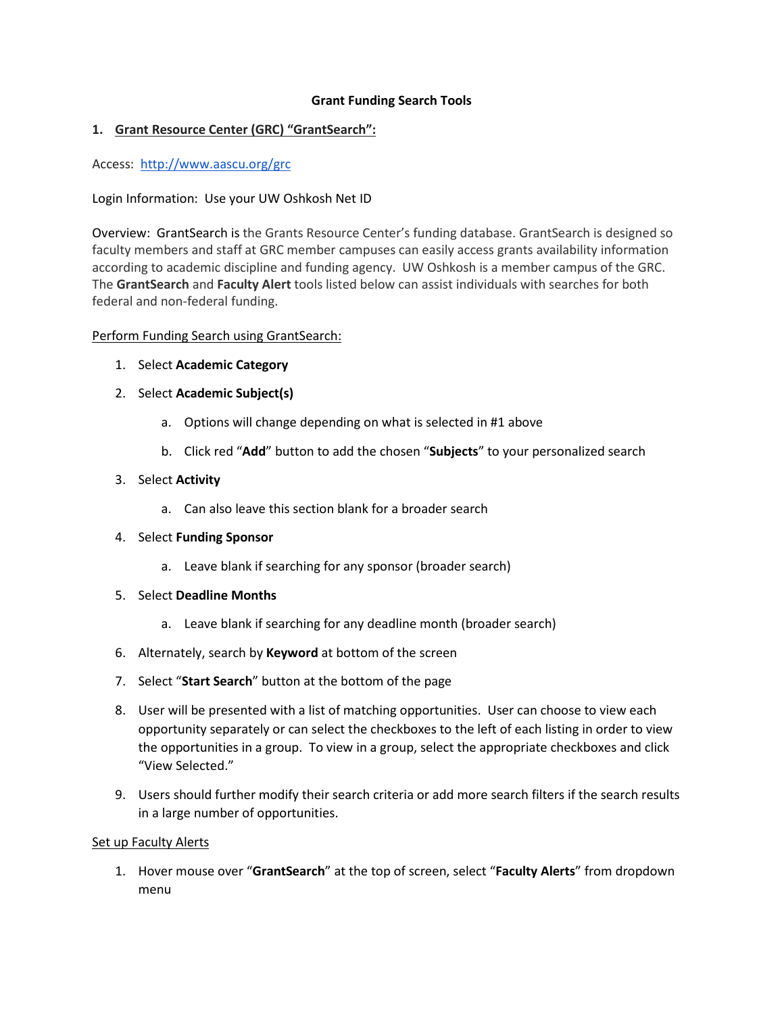# **Grant Funding Search Tools**

## **1. Grant Resource Center (GRC) "GrantSearch":**

#### Access:<http://www.aascu.org/grc>

#### Login Information: Use your UW Oshkosh Net ID

Overview: GrantSearch is the Grants Resource Center's funding database. GrantSearch is designed so faculty members and staff at GRC member campuses can easily access grants availability information according to academic discipline and funding agency. UW Oshkosh is a member campus of the GRC. The **GrantSearch** and **Faculty Alert** tools listed below can assist individuals with searches for both federal and non-federal funding.

#### Perform Funding Search using GrantSearch:

- 1. Select **Academic Category**
- 2. Select **Academic Subject(s)**
	- a. Options will change depending on what is selected in #1 above
	- b. Click red "**Add**" button to add the chosen "**Subjects**" to your personalized search

# 3. Select **Activity**

a. Can also leave this section blank for a broader search

#### 4. Select **Funding Sponsor**

- a. Leave blank if searching for any sponsor (broader search)
- 5. Select **Deadline Months**
	- a. Leave blank if searching for any deadline month (broader search)
- 6. Alternately, search by **Keyword** at bottom of the screen
- 7. Select "**Start Search**" button at the bottom of the page
- 8. User will be presented with a list of matching opportunities. User can choose to view each opportunity separately or can select the checkboxes to the left of each listing in order to view the opportunities in a group. To view in a group, select the appropriate checkboxes and click "View Selected."
- 9. Users should further modify their search criteria or add more search filters if the search results in a large number of opportunities.

#### Set up Faculty Alerts

1. Hover mouse over "**GrantSearch**" at the top of screen, select "**Faculty Alerts**" from dropdown menu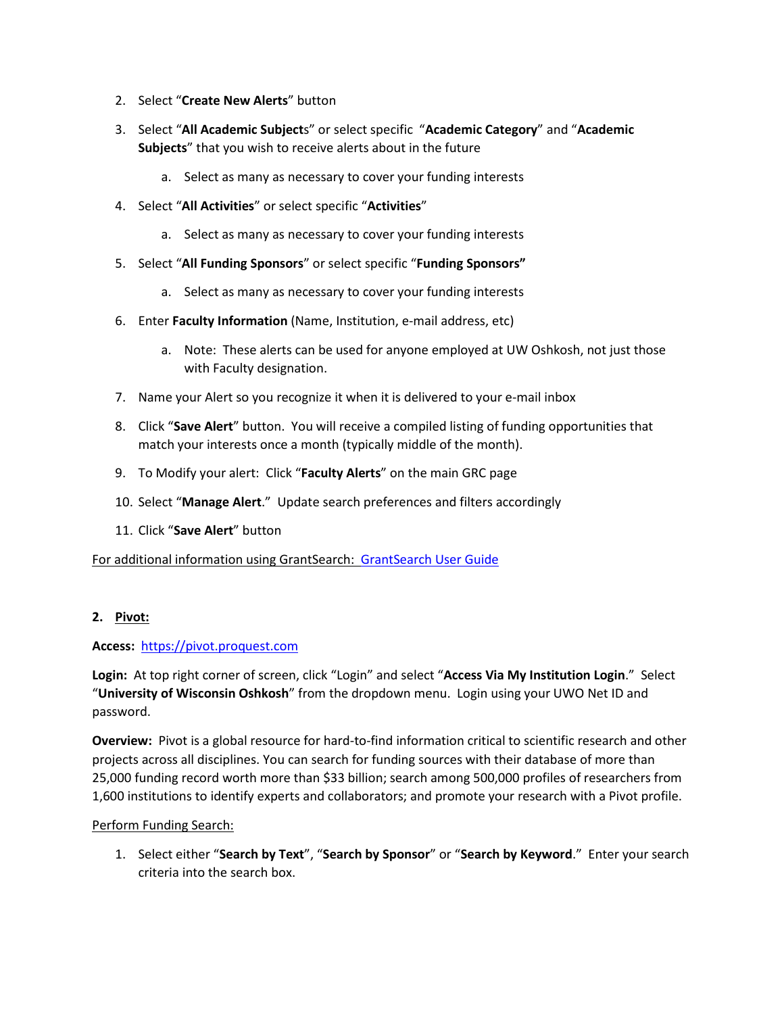- 2. Select "**Create New Alerts**" button
- 3. Select "**All Academic Subject**s" or select specific "**Academic Category**" and "**Academic Subjects**" that you wish to receive alerts about in the future
	- a. Select as many as necessary to cover your funding interests
- 4. Select "**All Activities**" or select specific "**Activities**"
	- a. Select as many as necessary to cover your funding interests
- 5. Select "**All Funding Sponsors**" or select specific "**Funding Sponsors"**
	- a. Select as many as necessary to cover your funding interests
- 6. Enter **Faculty Information** (Name, Institution, e-mail address, etc)
	- a. Note: These alerts can be used for anyone employed at UW Oshkosh, not just those with Faculty designation.
- 7. Name your Alert so you recognize it when it is delivered to your e-mail inbox
- 8. Click "**Save Alert**" button. You will receive a compiled listing of funding opportunities that match your interests once a month (typically middle of the month).
- 9. To Modify your alert: Click "**Faculty Alerts**" on the main GRC page
- 10. Select "**Manage Alert**." Update search preferences and filters accordingly
- 11. Click "**Save Alert**" button

For additional information using GrantSearch: [GrantSearch User Guide](http://www.aascu.org/grc/gs/userguide/)

#### **2. Pivot:**

#### **Access:** [https://pivot.proquest.com](https://pivot.proquest.com/)

**Login:** At top right corner of screen, click "Login" and select "**Access Via My Institution Login**." Select "**University of Wisconsin Oshkosh**" from the dropdown menu. Login using your UWO Net ID and password.

**Overview:** Pivot is a global resource for hard-to-find information critical to scientific research and other projects across all disciplines. You can search for funding sources with their database of more than 25,000 funding record worth more than \$33 billion; search among 500,000 profiles of researchers from 1,600 institutions to identify experts and collaborators; and promote your research with a Pivot profile.

#### Perform Funding Search:

1. Select either "**Search by Text**", "**Search by Sponsor**" or "**Search by Keyword**." Enter your search criteria into the search box.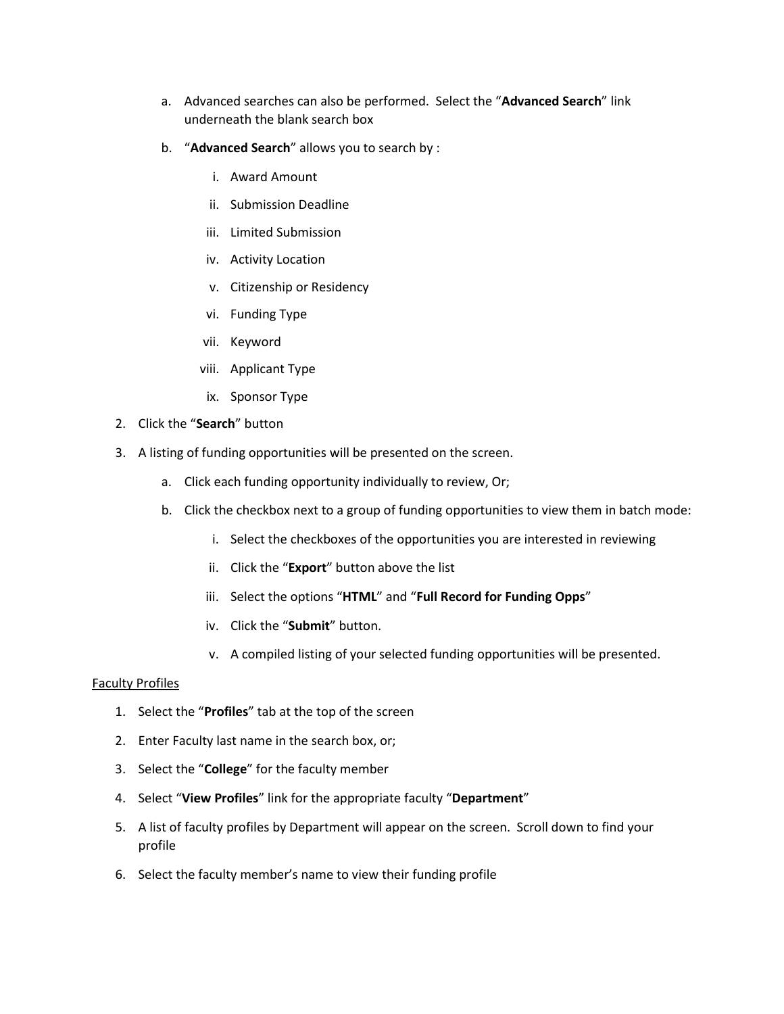- a. Advanced searches can also be performed. Select the "**Advanced Search**" link underneath the blank search box
- b. "**Advanced Search**" allows you to search by :
	- i. Award Amount
	- ii. Submission Deadline
	- iii. Limited Submission
	- iv. Activity Location
	- v. Citizenship or Residency
	- vi. Funding Type
	- vii. Keyword
	- viii. Applicant Type
	- ix. Sponsor Type
- 2. Click the "**Search**" button
- 3. A listing of funding opportunities will be presented on the screen.
	- a. Click each funding opportunity individually to review, Or;
	- b. Click the checkbox next to a group of funding opportunities to view them in batch mode:
		- i. Select the checkboxes of the opportunities you are interested in reviewing
		- ii. Click the "**Export**" button above the list
		- iii. Select the options "**HTML**" and "**Full Record for Funding Opps**"
		- iv. Click the "**Submit**" button.
		- v. A compiled listing of your selected funding opportunities will be presented.

#### Faculty Profiles

- 1. Select the "**Profiles**" tab at the top of the screen
- 2. Enter Faculty last name in the search box, or;
- 3. Select the "**College**" for the faculty member
- 4. Select "**View Profiles**" link for the appropriate faculty "**Department**"
- 5. A list of faculty profiles by Department will appear on the screen. Scroll down to find your profile
- 6. Select the faculty member's name to view their funding profile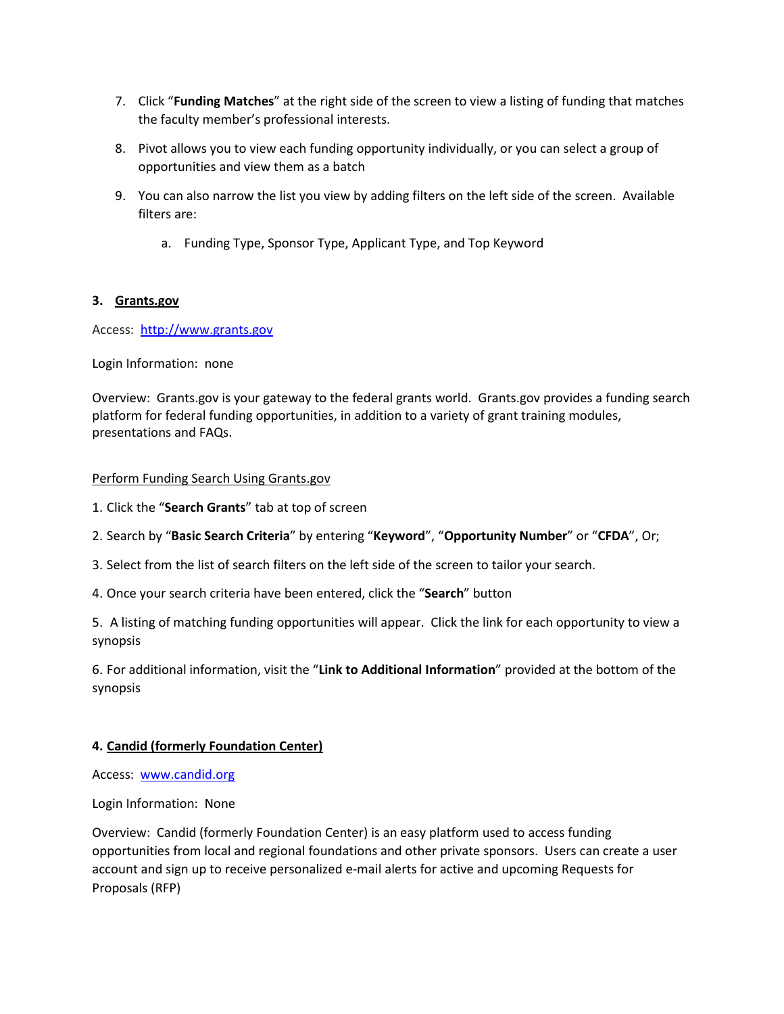- 7. Click "**Funding Matches**" at the right side of the screen to view a listing of funding that matches the faculty member's professional interests.
- 8. Pivot allows you to view each funding opportunity individually, or you can select a group of opportunities and view them as a batch
- 9. You can also narrow the list you view by adding filters on the left side of the screen. Available filters are:
	- a. Funding Type, Sponsor Type, Applicant Type, and Top Keyword

#### **3. Grants.gov**

Access: [http://www.grants.gov](http://www.grants.gov/)

Login Information: none

Overview: Grants.gov is your gateway to the federal grants world. Grants.gov provides a funding search platform for federal funding opportunities, in addition to a variety of grant training modules, presentations and FAQs.

#### Perform Funding Search Using Grants.gov

- 1. Click the "**Search Grants**" tab at top of screen
- 2. Search by "**Basic Search Criteria**" by entering "**Keyword**", "**Opportunity Number**" or "**CFDA**", Or;
- 3. Select from the list of search filters on the left side of the screen to tailor your search.
- 4. Once your search criteria have been entered, click the "**Search**" button

5. A listing of matching funding opportunities will appear. Click the link for each opportunity to view a synopsis

6. For additional information, visit the "**Link to Additional Information**" provided at the bottom of the synopsis

#### **4. Candid (formerly Foundation Center)**

#### Access: [www.candid.org](http://www.candid.org/)

Login Information: None

Overview: Candid (formerly Foundation Center) is an easy platform used to access funding opportunities from local and regional foundations and other private sponsors. Users can create a user account and sign up to receive personalized e-mail alerts for active and upcoming Requests for Proposals (RFP)